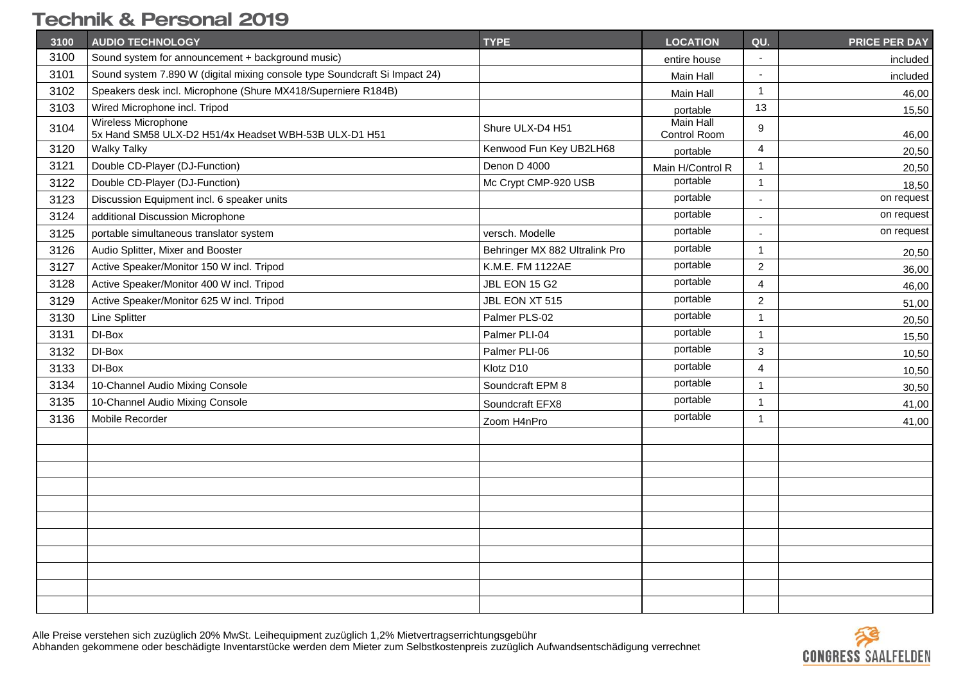| 3100 | <b>AUDIO TECHNOLOGY</b>                                                      | <b>TYPE</b>                    | <b>LOCATION</b>                  | QU.                      | <b>PRICE PER DAY</b> |
|------|------------------------------------------------------------------------------|--------------------------------|----------------------------------|--------------------------|----------------------|
| 3100 | Sound system for announcement + background music)                            |                                | entire house                     | $\sim$                   | included             |
| 3101 | Sound system 7.890 W (digital mixing console type Soundcraft Si Impact 24)   |                                | Main Hall                        | $\overline{\phantom{a}}$ | included             |
| 3102 | Speakers desk incl. Microphone (Shure MX418/Superniere R184B)                |                                | Main Hall                        | $\mathbf{1}$             | 46,00                |
| 3103 | Wired Microphone incl. Tripod                                                |                                | portable                         | 13                       | 15,50                |
| 3104 | Wireless Microphone<br>5x Hand SM58 ULX-D2 H51/4x Headset WBH-53B ULX-D1 H51 | Shure ULX-D4 H51               | <b>Main Hall</b><br>Control Room | 9                        | 46,00                |
| 3120 | <b>Walky Talky</b>                                                           | Kenwood Fun Key UB2LH68        | portable                         | $\overline{4}$           | 20,50                |
| 3121 | Double CD-Player (DJ-Function)                                               | Denon D 4000                   | Main H/Control R                 | $\mathbf{1}$             | 20,50                |
| 3122 | Double CD-Player (DJ-Function)                                               | Mc Crypt CMP-920 USB           | portable                         | $\mathbf{1}$             | 18,50                |
| 3123 | Discussion Equipment incl. 6 speaker units                                   |                                | portable                         | $\blacksquare$           | on request           |
| 3124 | additional Discussion Microphone                                             |                                | portable                         |                          | on request           |
| 3125 | portable simultaneous translator system                                      | versch. Modelle                | portable                         | $\blacksquare$           | on request           |
| 3126 | Audio Splitter, Mixer and Booster                                            | Behringer MX 882 Ultralink Pro | portable                         | $\mathbf{1}$             | 20,50                |
| 3127 | Active Speaker/Monitor 150 W incl. Tripod                                    | K.M.E. FM 1122AE               | portable                         | $\overline{2}$           | 36,00                |
| 3128 | Active Speaker/Monitor 400 W incl. Tripod                                    | JBL EON 15 G2                  | portable                         | $\overline{4}$           | 46,00                |
| 3129 | Active Speaker/Monitor 625 W incl. Tripod                                    | JBL EON XT 515                 | portable                         | $\overline{2}$           | 51,00                |
| 3130 | Line Splitter                                                                | Palmer PLS-02                  | portable                         | -1                       | 20,50                |
| 3131 | DI-Box                                                                       | Palmer PLI-04                  | portable                         | $\mathbf{1}$             | 15,50                |
| 3132 | DI-Box                                                                       | Palmer PLI-06                  | portable                         | 3                        | 10,50                |
| 3133 | DI-Box                                                                       | Klotz D10                      | portable                         | $\overline{4}$           | 10,50                |
| 3134 | 10-Channel Audio Mixing Console                                              | Soundcraft EPM 8               | portable                         | $\mathbf{1}$             | 30,50                |
| 3135 | 10-Channel Audio Mixing Console                                              | Soundcraft EFX8                | portable                         | $\overline{1}$           | 41,00                |
| 3136 | Mobile Recorder                                                              | Zoom H4nPro                    | portable                         | $\mathbf{1}$             | 41,00                |
|      |                                                                              |                                |                                  |                          |                      |
|      |                                                                              |                                |                                  |                          |                      |
|      |                                                                              |                                |                                  |                          |                      |
|      |                                                                              |                                |                                  |                          |                      |
|      |                                                                              |                                |                                  |                          |                      |
|      |                                                                              |                                |                                  |                          |                      |
|      |                                                                              |                                |                                  |                          |                      |
|      |                                                                              |                                |                                  |                          |                      |
|      |                                                                              |                                |                                  |                          |                      |
|      |                                                                              |                                |                                  |                          |                      |
|      |                                                                              |                                |                                  |                          |                      |

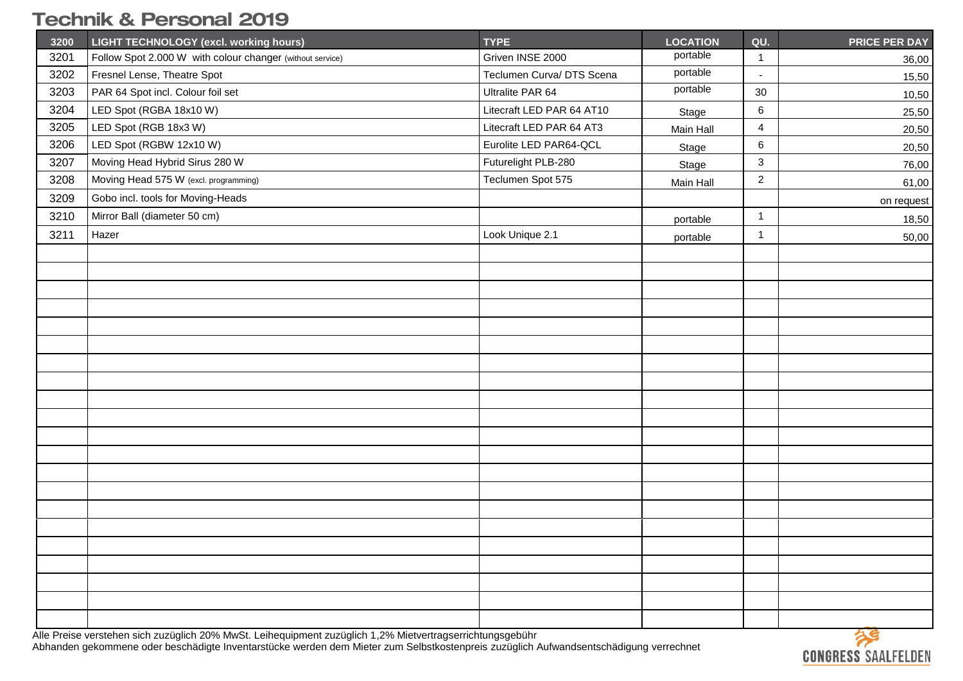| 3200 | LIGHT TECHNOLOGY (excl. working hours)                    | <b>TYPE</b>               | <b>LOCATION</b> | QU.                     | <b>PRICE PER DAY</b> |
|------|-----------------------------------------------------------|---------------------------|-----------------|-------------------------|----------------------|
| 3201 | Follow Spot 2.000 W with colour changer (without service) | Griven INSE 2000          | portable        | $\mathbf{1}$            | 36,00                |
| 3202 | Fresnel Lense, Theatre Spot                               | Teclumen Curva/ DTS Scena | portable        | $\mathbb{Z}^2$          | 15,50                |
| 3203 | PAR 64 Spot incl. Colour foil set                         | Ultralite PAR 64          | portable        | 30                      | 10,50                |
| 3204 | LED Spot (RGBA 18x10 W)                                   | Litecraft LED PAR 64 AT10 | Stage           | $\,6\,$                 | 25,50                |
| 3205 | LED Spot (RGB 18x3 W)                                     | Litecraft LED PAR 64 AT3  | Main Hall       | $\overline{\mathbf{4}}$ | 20,50                |
| 3206 | LED Spot (RGBW 12x10 W)                                   | Eurolite LED PAR64-QCL    | Stage           | $\,6\,$                 | 20,50                |
| 3207 | Moving Head Hybrid Sirus 280 W                            | Futurelight PLB-280       | Stage           | 3                       | 76,00                |
| 3208 | Moving Head 575 W (excl. programming)                     | Teclumen Spot 575         | Main Hall       | $\overline{a}$          | 61,00                |
| 3209 | Gobo incl. tools for Moving-Heads                         |                           |                 |                         | on request           |
| 3210 | Mirror Ball (diameter 50 cm)                              |                           | portable        | $\mathbf{1}$            | 18,50                |
| 3211 | Hazer                                                     | Look Unique 2.1           | portable        | $\mathbf{1}$            | 50,00                |
|      |                                                           |                           |                 |                         |                      |
|      |                                                           |                           |                 |                         |                      |
|      |                                                           |                           |                 |                         |                      |
|      |                                                           |                           |                 |                         |                      |
|      |                                                           |                           |                 |                         |                      |
|      |                                                           |                           |                 |                         |                      |
|      |                                                           |                           |                 |                         |                      |
|      |                                                           |                           |                 |                         |                      |
|      |                                                           |                           |                 |                         |                      |
|      |                                                           |                           |                 |                         |                      |
|      |                                                           |                           |                 |                         |                      |
|      |                                                           |                           |                 |                         |                      |
|      |                                                           |                           |                 |                         |                      |
|      |                                                           |                           |                 |                         |                      |
|      |                                                           |                           |                 |                         |                      |
|      |                                                           |                           |                 |                         |                      |
|      |                                                           |                           |                 |                         |                      |
|      |                                                           |                           |                 |                         |                      |
|      |                                                           |                           |                 |                         |                      |
|      |                                                           |                           |                 |                         |                      |
|      |                                                           |                           |                 |                         |                      |

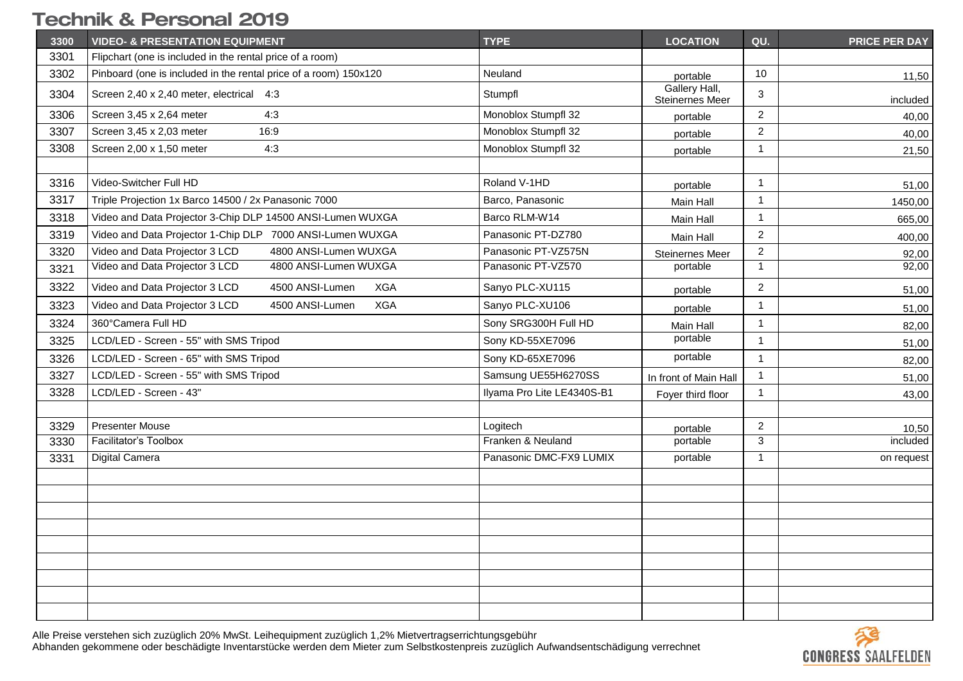| 3300 | <b>VIDEO- &amp; PRESENTATION EQUIPMENT</b>                       | <b>TYPE</b>                | <b>LOCATION</b>                  | QU.            | <b>PRICE PER DAY</b> |
|------|------------------------------------------------------------------|----------------------------|----------------------------------|----------------|----------------------|
| 3301 | Flipchart (one is included in the rental price of a room)        |                            |                                  |                |                      |
| 3302 | Pinboard (one is included in the rental price of a room) 150x120 | Neuland                    | portable                         | 10             | 11,50                |
| 3304 | Screen 2,40 x 2,40 meter, electrical 4:3                         | Stumpfl                    | Gallery Hall,<br>Steinernes Meer | 3              | included             |
| 3306 | 4:3<br>Screen 3,45 x 2,64 meter                                  | Monoblox Stumpfl 32        | portable                         | $\overline{c}$ | 40,00                |
| 3307 | Screen 3,45 x 2,03 meter<br>16:9                                 | Monoblox Stumpfl 32        | portable                         | $\overline{c}$ | 40,00                |
| 3308 | Screen 2,00 x 1,50 meter<br>4:3                                  | Monoblox Stumpfl 32        | portable                         | 1              | 21,50                |
|      |                                                                  |                            |                                  |                |                      |
| 3316 | Video-Switcher Full HD                                           | Roland V-1HD               | portable                         | 1              | 51,00                |
| 3317 | Triple Projection 1x Barco 14500 / 2x Panasonic 7000             | Barco, Panasonic           | Main Hall                        | $\mathbf{1}$   | 1450,00              |
| 3318 | Video and Data Projector 3-Chip DLP 14500 ANSI-Lumen WUXGA       | Barco RLM-W14              | Main Hall                        | $\mathbf{1}$   | 665,00               |
| 3319 | Video and Data Projector 1-Chip DLP 7000 ANSI-Lumen WUXGA        | Panasonic PT-DZ780         | Main Hall                        | $\overline{c}$ | 400,00               |
| 3320 | Video and Data Projector 3 LCD<br>4800 ANSI-Lumen WUXGA          | Panasonic PT-VZ575N        | Steinernes Meer                  | $\overline{a}$ | 92,00                |
| 3321 | Video and Data Projector 3 LCD<br>4800 ANSI-Lumen WUXGA          | Panasonic PT-VZ570         | portable                         | $\mathbf{1}$   | 92,00                |
| 3322 | Video and Data Projector 3 LCD<br>4500 ANSI-Lumen<br><b>XGA</b>  | Sanyo PLC-XU115            | portable                         | $\overline{c}$ | 51,00                |
| 3323 | <b>XGA</b><br>Video and Data Projector 3 LCD<br>4500 ANSI-Lumen  | Sanyo PLC-XU106            | portable                         | $\mathbf 1$    | 51,00                |
| 3324 | 360°Camera Full HD                                               | Sony SRG300H Full HD       | Main Hall                        | $\mathbf{1}$   | 82,00                |
| 3325 | LCD/LED - Screen - 55" with SMS Tripod                           | Sony KD-55XE7096           | portable                         | $\mathbf{1}$   | 51,00                |
| 3326 | LCD/LED - Screen - 65" with SMS Tripod                           | Sony KD-65XE7096           | portable                         | $\mathbf{1}$   | 82,00                |
| 3327 | LCD/LED - Screen - 55" with SMS Tripod                           | Samsung UE55H6270SS        | In front of Main Hall            | 1              | 51,00                |
| 3328 | LCD/LED - Screen - 43"                                           | Ilyama Pro Lite LE4340S-B1 | Foyer third floor                | $\mathbf{1}$   | 43,00                |
|      |                                                                  |                            |                                  |                |                      |
| 3329 | <b>Presenter Mouse</b>                                           | Logitech                   | portable                         | $\overline{2}$ | 10,50                |
| 3330 | <b>Facilitator's Toolbox</b>                                     | Franken & Neuland          | portable                         | 3              | included             |
| 3331 | Digital Camera                                                   | Panasonic DMC-FX9 LUMIX    | portable                         | $\mathbf{1}$   | on request           |
|      |                                                                  |                            |                                  |                |                      |
|      |                                                                  |                            |                                  |                |                      |
|      |                                                                  |                            |                                  |                |                      |
|      |                                                                  |                            |                                  |                |                      |
|      |                                                                  |                            |                                  |                |                      |
|      |                                                                  |                            |                                  |                |                      |
|      |                                                                  |                            |                                  |                |                      |
|      |                                                                  |                            |                                  |                |                      |
|      |                                                                  |                            |                                  |                |                      |

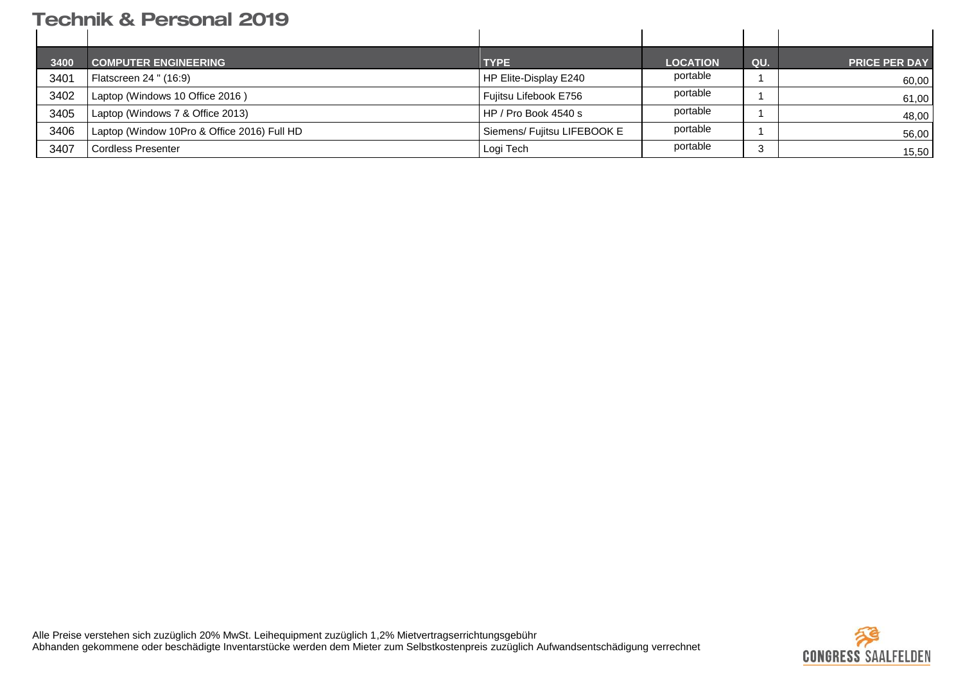| 3400 | <b>COMPUTER ENGINEERING</b>                 | <b>TYPE</b>                 | <b>LOCATION</b> | QU. | <b>PRICE PER DAY</b> |
|------|---------------------------------------------|-----------------------------|-----------------|-----|----------------------|
| 3401 | Flatscreen 24 " (16:9)                      | HP Elite-Display E240       | portable        |     | 60,00                |
| 3402 | Laptop (Windows 10 Office 2016)             | Fujitsu Lifebook E756       | portable        |     | 61,00                |
| 3405 | Laptop (Windows 7 & Office 2013)            | HP / Pro Book 4540 s        | portable        |     | 48,00                |
| 3406 | Laptop (Window 10Pro & Office 2016) Full HD | Siemens/ Fujitsu LIFEBOOK E | portable        |     | 56,00                |
| 3407 | Cordless Presenter                          | Logi Tech                   | portable        | 3   | 15,50                |

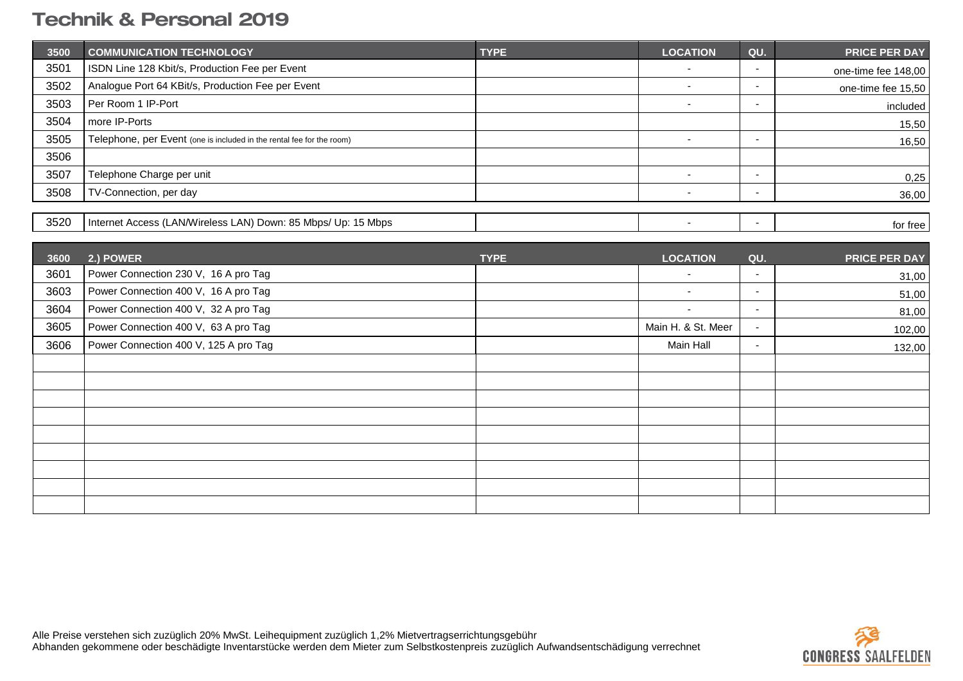| 3500 | <b>COMMUNICATION TECHNOLOGY</b>                                       | <b>TYPE</b> | <b>LOCATION</b>          | QU.                      | PRICE PER DAY        |
|------|-----------------------------------------------------------------------|-------------|--------------------------|--------------------------|----------------------|
| 3501 | ISDN Line 128 Kbit/s, Production Fee per Event                        |             | $\blacksquare$           | $\overline{\phantom{a}}$ | one-time fee 148,00  |
| 3502 | Analogue Port 64 KBit/s, Production Fee per Event                     |             | $\blacksquare$           | $\sim$                   | one-time fee 15,50   |
| 3503 | Per Room 1 IP-Port                                                    |             | $\sim$                   | $\overline{\phantom{a}}$ | included             |
| 3504 | more IP-Ports                                                         |             |                          |                          | 15,50                |
| 3505 | Telephone, per Event (one is included in the rental fee for the room) |             | $\blacksquare$           | $\sim$                   | 16,50                |
| 3506 |                                                                       |             |                          |                          |                      |
| 3507 | Telephone Charge per unit                                             |             | $\blacksquare$           | $\blacksquare$           | 0,25                 |
| 3508 | TV-Connection, per day                                                |             | $\overline{\phantom{a}}$ | $\blacksquare$           | 36,00                |
|      |                                                                       |             |                          |                          |                      |
| 3520 | Internet Access (LAN/Wireless LAN) Down: 85 Mbps/ Up: 15 Mbps         |             | $\blacksquare$           | $\sim$                   | for free             |
|      |                                                                       |             |                          |                          |                      |
| 3600 | 2.) POWER                                                             | <b>TYPE</b> | <b>LOCATION</b>          | QU.                      | <b>PRICE PER DAY</b> |
| 3601 | Power Connection 230 V, 16 A pro Tag                                  |             |                          | $\overline{\phantom{a}}$ | 31,00                |
| 3603 | Power Connection 400 V, 16 A pro Tag                                  |             | $\sim$                   | $\blacksquare$           | 51,00                |
| 3604 | Power Connection 400 V, 32 A pro Tag                                  |             | $\blacksquare$           | $\sim$                   | 81,00                |
| 3605 | Power Connection 400 V, 63 A pro Tag                                  |             | Main H. & St. Meer       | $\sim$                   | 102,00               |
| 3606 | Power Connection 400 V, 125 A pro Tag                                 |             | Main Hall                | $\sim$                   | 132,00               |
|      |                                                                       |             |                          |                          |                      |
|      |                                                                       |             |                          |                          |                      |
|      |                                                                       |             |                          |                          |                      |
|      |                                                                       |             |                          |                          |                      |
|      |                                                                       |             |                          |                          |                      |
|      |                                                                       |             |                          |                          |                      |
|      |                                                                       |             |                          |                          |                      |
|      |                                                                       |             |                          |                          |                      |
|      |                                                                       |             |                          |                          |                      |

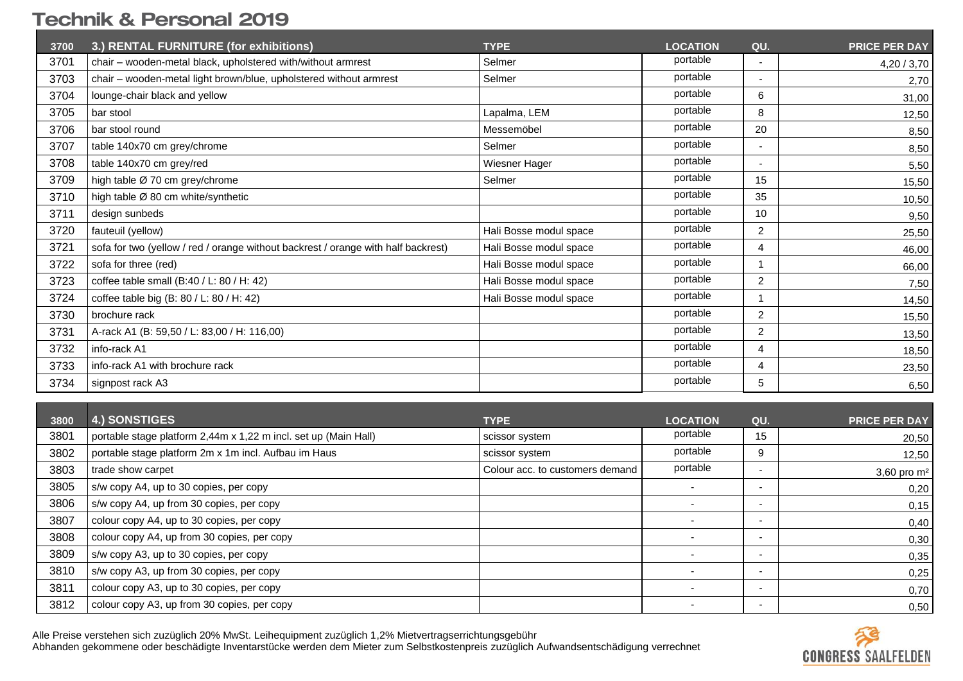| 3700 | 3.) RENTAL FURNITURE (for exhibitions)                                            | <b>TYPE</b>            | <b>LOCATION</b> | QU.                      | <b>PRICE PER DAY</b> |
|------|-----------------------------------------------------------------------------------|------------------------|-----------------|--------------------------|----------------------|
| 3701 | chair - wooden-metal black, upholstered with/without armrest                      | Selmer                 | portable        | $\overline{\phantom{a}}$ | 4,20 / 3,70          |
| 3703 | chair - wooden-metal light brown/blue, upholstered without armrest                | Selmer                 | portable        | $\overline{\phantom{a}}$ | 2,70                 |
| 3704 | lounge-chair black and yellow                                                     |                        | portable        | 6                        | 31,00                |
| 3705 | bar stool                                                                         | Lapalma, LEM           | portable        | 8                        | 12,50                |
| 3706 | bar stool round                                                                   | Messemöbel             | portable        | 20                       | 8,50                 |
| 3707 | table 140x70 cm grey/chrome                                                       | Selmer                 | portable        | $\overline{\phantom{a}}$ | 8,50                 |
| 3708 | table 140x70 cm grey/red                                                          | Wiesner Hager          | portable        | $\overline{\phantom{a}}$ | 5,50                 |
| 3709 | high table Ø 70 cm grey/chrome                                                    | Selmer                 | portable        | 15                       | 15,50                |
| 3710 | high table Ø 80 cm white/synthetic                                                |                        | portable        | 35                       | 10,50                |
| 3711 | design sunbeds                                                                    |                        | portable        | 10                       | 9,50                 |
| 3720 | fauteuil (yellow)                                                                 | Hali Bosse modul space | portable        | 2                        | 25,50                |
| 3721 | sofa for two (yellow / red / orange without backrest / orange with half backrest) | Hali Bosse modul space | portable        | 4                        | 46,00                |
| 3722 | sofa for three (red)                                                              | Hali Bosse modul space | portable        |                          | 66,00                |
| 3723 | coffee table small (B:40 / L: 80 / H: 42)                                         | Hali Bosse modul space | portable        | $\overline{2}$           | 7,50                 |
| 3724 | coffee table big (B: 80 / L: 80 / H: 42)                                          | Hali Bosse modul space | portable        |                          | 14,50                |
| 3730 | brochure rack                                                                     |                        | portable        | 2                        | 15,50                |
| 3731 | A-rack A1 (B: 59,50 / L: 83,00 / H: 116,00)                                       |                        | portable        | $\overline{2}$           | 13,50                |
| 3732 | info-rack A1                                                                      |                        | portable        | $\overline{4}$           | 18,50                |
| 3733 | info-rack A1 with brochure rack                                                   |                        | portable        | 4                        | 23,50                |
| 3734 | signpost rack A3                                                                  |                        | portable        | 5                        | 6,50                 |

| 3800 | <b>4.) SONSTIGES</b>                                            | <b>TYPE</b>                     | <b>LOCATION</b>          | QU.                      | <b>PRICE PER DAY</b> |
|------|-----------------------------------------------------------------|---------------------------------|--------------------------|--------------------------|----------------------|
| 3801 | portable stage platform 2,44m x 1,22 m incl. set up (Main Hall) | scissor system                  | portable                 | 15                       | 20,50                |
| 3802 | portable stage platform 2m x 1m incl. Aufbau im Haus            | scissor system                  | portable                 | 9                        | 12,50                |
| 3803 | trade show carpet                                               | Colour acc. to customers demand | portable                 | $\overline{\phantom{a}}$ | 3,60 pro $m2$        |
| 3805 | s/w copy A4, up to 30 copies, per copy                          |                                 | $\overline{\phantom{0}}$ | $\overline{\phantom{a}}$ | 0,20                 |
| 3806 | s/w copy A4, up from 30 copies, per copy                        |                                 | $\overline{\phantom{0}}$ | ٠                        | 0,15                 |
| 3807 | colour copy A4, up to 30 copies, per copy                       |                                 | $\overline{\phantom{0}}$ | $\overline{\phantom{a}}$ | 0,40                 |
| 3808 | colour copy A4, up from 30 copies, per copy                     |                                 | $\overline{\phantom{a}}$ | ٠                        | 0,30                 |
| 3809 | s/w copy A3, up to 30 copies, per copy                          |                                 | $\overline{\phantom{0}}$ | $\overline{\phantom{a}}$ | 0,35                 |
| 3810 | s/w copy A3, up from 30 copies, per copy                        |                                 | $\overline{\phantom{a}}$ | ٠                        | 0,25                 |
| 3811 | colour copy A3, up to 30 copies, per copy                       |                                 | $\overline{\phantom{0}}$ | $\overline{\phantom{a}}$ | 0,70                 |
| 3812 | colour copy A3, up from 30 copies, per copy                     |                                 |                          | ٠                        | 0,50                 |